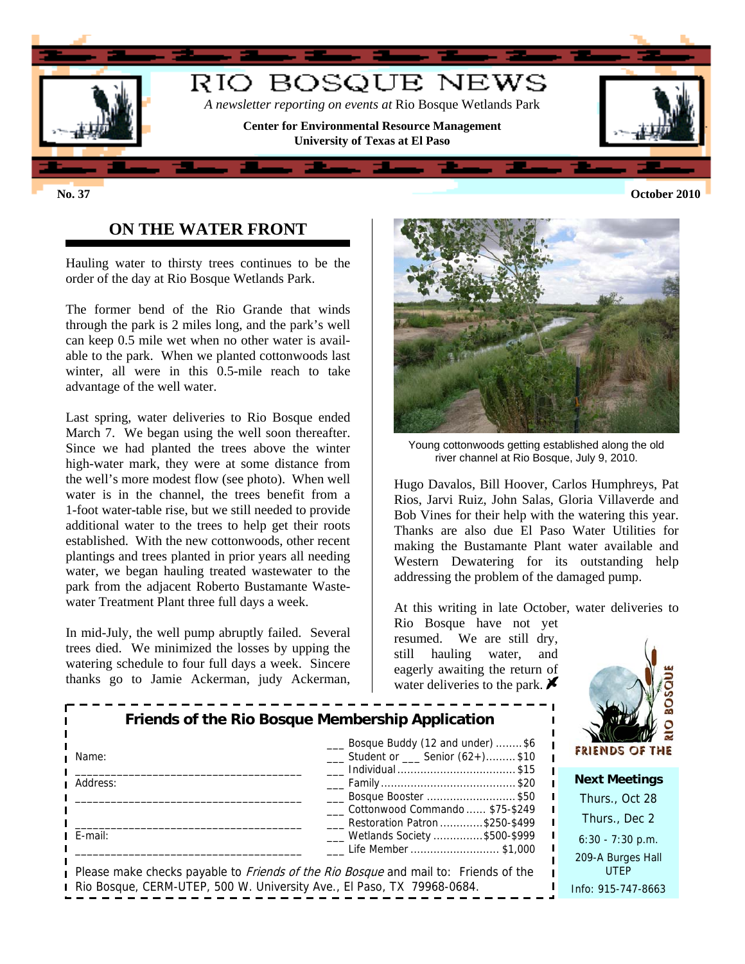

## **ON THE WATER FRONT**

Hauling water to thirsty trees continues to be the order of the day at Rio Bosque Wetlands Park.

The former bend of the Rio Grande that winds through the park is 2 miles long, and the park's well can keep 0.5 mile wet when no other water is available to the park. When we planted cottonwoods last winter, all were in this 0.5-mile reach to take advantage of the well water.

Last spring, water deliveries to Rio Bosque ended March 7. We began using the well soon thereafter. Since we had planted the trees above the winter high-water mark, they were at some distance from the well's more modest flow (see photo). When well water is in the channel, the trees benefit from a 1-foot water-table rise, but we still needed to provide additional water to the trees to help get their roots established. With the new cottonwoods, other recent plantings and trees planted in prior years all needing water, we began hauling treated wastewater to the park from the adjacent Roberto Bustamante Wastewater Treatment Plant three full days a week.

In mid-July, the well pump abruptly failed. Several trees died. We minimized the losses by upping the watering schedule to four full days a week. Sincere thanks go to Jamie Ackerman, judy Ackerman,



Young cottonwoods getting established along the old river channel at Rio Bosque, July 9, 2010.

Hugo Davalos, Bill Hoover, Carlos Humphreys, Pat Rios, Jarvi Ruiz, John Salas, Gloria Villaverde and Bob Vines for their help with the watering this year. Thanks are also due El Paso Water Utilities for making the Bustamante Plant water available and Western Dewatering for its outstanding help addressing the problem of the damaged pump.

At this writing in late October, water deliveries to

Rio Bosque have not yet resumed. We are still dry, still hauling water, and eagerly awaiting the return of water deliveries to the park.  $\blacktriangleright$ 



| Name:                                                                  | Bosque Buddy (12 and under) \$6<br>$\frac{1}{1}$ Student or $\frac{1}{1}$ Senior (62+)\$10 | FRI             |
|------------------------------------------------------------------------|--------------------------------------------------------------------------------------------|-----------------|
|                                                                        |                                                                                            | Ne              |
| Address:                                                               |                                                                                            |                 |
|                                                                        | Bosque Booster \$50                                                                        | Τł              |
|                                                                        | Cottonwood Commando  \$75-\$249                                                            |                 |
|                                                                        | Restoration Patron \$250-\$499                                                             | т               |
| E-mail:                                                                | ___ Wetlands Society \$500-\$999                                                           | 6:              |
|                                                                        | Life Member \$1,000                                                                        |                 |
|                                                                        |                                                                                            | 20 <sup>0</sup> |
|                                                                        | Please make checks payable to <i>Friends of the Rio Bosque</i> and mail to: Friends of the |                 |
| Rio Bosque, CERM-UTEP, 500 W. University Ave., El Paso, TX 79968-0684. |                                                                                            | Info            |

**Friends of the Rio Bosque Membership Application**

**xt Meetings** hurs., Oct 28 hurs., Dec 2  $30 - 7:30$  p.m. 9-A Burges Hall UTEP Info: 915-747-8663